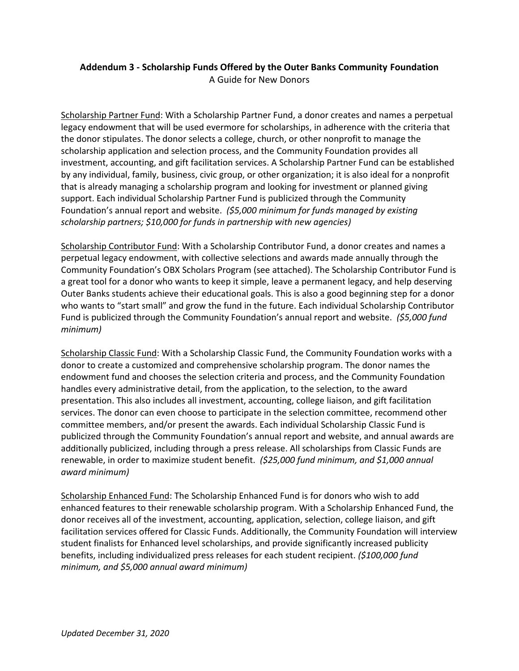## **Addendum 3 - Scholarship Funds Offered by the Outer Banks Community Foundation** A Guide for New Donors

Scholarship Partner Fund: With a Scholarship Partner Fund, a donor creates and names a perpetual legacy endowment that will be used evermore for scholarships, in adherence with the criteria that the donor stipulates. The donor selects a college, church, or other nonprofit to manage the scholarship application and selection process, and the Community Foundation provides all investment, accounting, and gift facilitation services. A Scholarship Partner Fund can be established by any individual, family, business, civic group, or other organization; it is also ideal for a nonprofit that is already managing a scholarship program and looking for investment or planned giving support. Each individual Scholarship Partner Fund is publicized through the Community Foundation's annual report and website. *(\$5,000 minimum for funds managed by existing scholarship partners; \$10,000 for funds in partnership with new agencies)*

Scholarship Contributor Fund: With a Scholarship Contributor Fund, a donor creates and names a perpetual legacy endowment, with collective selections and awards made annually through the Community Foundation's OBX Scholars Program (see attached). The Scholarship Contributor Fund is a great tool for a donor who wants to keep it simple, leave a permanent legacy, and help deserving Outer Banks students achieve their educational goals. This is also a good beginning step for a donor who wants to "start small" and grow the fund in the future. Each individual Scholarship Contributor Fund is publicized through the Community Foundation's annual report and website. *(\$5,000 fund minimum)*

Scholarship Classic Fund: With a Scholarship Classic Fund, the Community Foundation works with a donor to create a customized and comprehensive scholarship program. The donor names the endowment fund and chooses the selection criteria and process, and the Community Foundation handles every administrative detail, from the application, to the selection, to the award presentation. This also includes all investment, accounting, college liaison, and gift facilitation services. The donor can even choose to participate in the selection committee, recommend other committee members, and/or present the awards. Each individual Scholarship Classic Fund is publicized through the Community Foundation's annual report and website, and annual awards are additionally publicized, including through a press release. All scholarships from Classic Funds are renewable, in order to maximize student benefit. *(\$25,000 fund minimum, and \$1,000 annual award minimum)*

Scholarship Enhanced Fund: The Scholarship Enhanced Fund is for donors who wish to add enhanced features to their renewable scholarship program. With a Scholarship Enhanced Fund, the donor receives all of the investment, accounting, application, selection, college liaison, and gift facilitation services offered for Classic Funds. Additionally, the Community Foundation will interview student finalists for Enhanced level scholarships, and provide significantly increased publicity benefits, including individualized press releases for each student recipient. *(\$100,000 fund minimum, and \$5,000 annual award minimum)*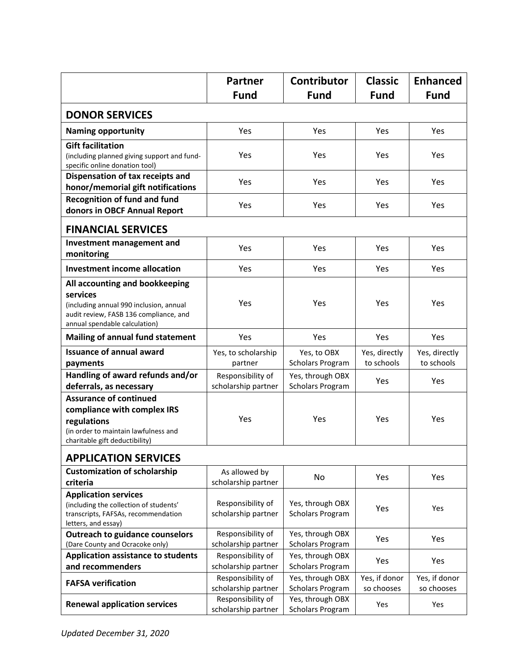|                                                                               | <b>Partner</b>                           | Contributor             | <b>Classic</b> | <b>Enhanced</b> |  |
|-------------------------------------------------------------------------------|------------------------------------------|-------------------------|----------------|-----------------|--|
|                                                                               | <b>Fund</b>                              | <b>Fund</b>             | <b>Fund</b>    | <b>Fund</b>     |  |
| <b>DONOR SERVICES</b>                                                         |                                          |                         |                |                 |  |
| <b>Naming opportunity</b>                                                     | Yes                                      | Yes                     | Yes            | Yes             |  |
| <b>Gift facilitation</b>                                                      | Yes                                      | Yes                     | Yes            | Yes             |  |
| (including planned giving support and fund-<br>specific online donation tool) |                                          |                         |                |                 |  |
| Dispensation of tax receipts and<br>honor/memorial gift notifications         | Yes                                      | Yes                     | Yes            | <b>Yes</b>      |  |
| <b>Recognition of fund and fund</b><br>donors in OBCF Annual Report           | Yes                                      | Yes                     | Yes            | Yes             |  |
| <b>FINANCIAL SERVICES</b>                                                     |                                          |                         |                |                 |  |
| Investment management and                                                     |                                          |                         |                |                 |  |
| monitoring                                                                    | Yes                                      | Yes                     | Yes            | Yes             |  |
| <b>Investment income allocation</b>                                           | Yes                                      | Yes                     | Yes            | Yes             |  |
| All accounting and bookkeeping                                                |                                          |                         |                |                 |  |
| services<br>(including annual 990 inclusion, annual                           | Yes                                      | Yes                     | Yes            | Yes             |  |
| audit review, FASB 136 compliance, and<br>annual spendable calculation)       |                                          |                         |                |                 |  |
| <b>Mailing of annual fund statement</b>                                       | Yes                                      | Yes                     | Yes            | Yes             |  |
| <b>Issuance of annual award</b>                                               | Yes, to scholarship                      | Yes, to OBX             | Yes, directly  | Yes, directly   |  |
| payments                                                                      | partner                                  | <b>Scholars Program</b> | to schools     | to schools      |  |
| Handling of award refunds and/or                                              | Responsibility of                        | Yes, through OBX        | Yes            | Yes             |  |
| deferrals, as necessary                                                       | scholarship partner                      | <b>Scholars Program</b> |                |                 |  |
| <b>Assurance of continued</b>                                                 |                                          |                         |                |                 |  |
| compliance with complex IRS                                                   | Yes                                      | Yes                     | Yes            | Yes             |  |
| regulations<br>(in order to maintain lawfulness and                           |                                          |                         |                |                 |  |
| charitable gift deductibility)                                                |                                          |                         |                |                 |  |
| <b>APPLICATION SERVICES</b>                                                   |                                          |                         |                |                 |  |
| <b>Customization of scholarship</b>                                           | As allowed by                            | No                      | Yes            | Yes             |  |
| criteria                                                                      | scholarship partner                      |                         |                |                 |  |
| <b>Application services</b>                                                   |                                          |                         |                |                 |  |
| (including the collection of students'                                        | Responsibility of<br>scholarship partner | Yes, through OBX        | Yes            | Yes             |  |
| transcripts, FAFSAs, recommendation<br>letters, and essay)                    |                                          | <b>Scholars Program</b> |                |                 |  |
| <b>Outreach to guidance counselors</b>                                        | Responsibility of                        | Yes, through OBX        |                |                 |  |
| (Dare County and Ocracoke only)                                               | scholarship partner                      | <b>Scholars Program</b> | Yes            | Yes             |  |
| Application assistance to students                                            | Responsibility of                        | Yes, through OBX        |                |                 |  |
| and recommenders                                                              | scholarship partner                      | Scholars Program        | Yes            | Yes             |  |
| <b>FAFSA verification</b>                                                     | Responsibility of                        | Yes, through OBX        | Yes, if donor  | Yes, if donor   |  |
|                                                                               | scholarship partner                      | Scholars Program        | so chooses     | so chooses      |  |
| <b>Renewal application services</b>                                           | Responsibility of                        | Yes, through OBX        | Yes            | Yes             |  |
|                                                                               | scholarship partner                      | Scholars Program        |                |                 |  |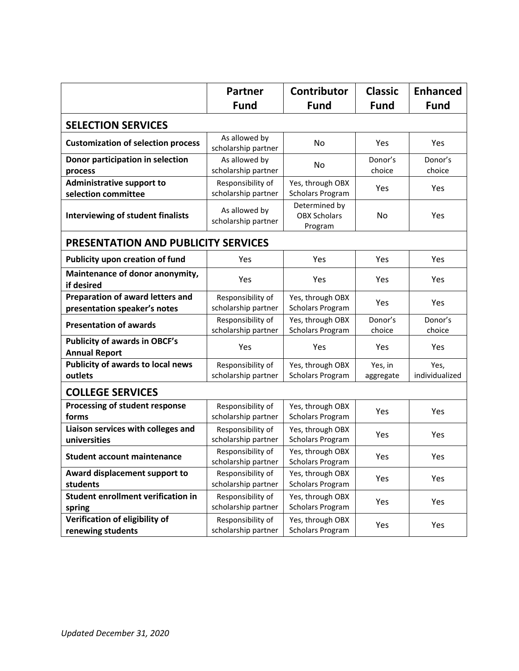|                                                                  | <b>Partner</b>                           | <b>Contributor</b>                              | <b>Classic</b>       | <b>Enhanced</b>        |  |  |
|------------------------------------------------------------------|------------------------------------------|-------------------------------------------------|----------------------|------------------------|--|--|
|                                                                  | <b>Fund</b>                              | <b>Fund</b>                                     | <b>Fund</b>          | <b>Fund</b>            |  |  |
| <b>SELECTION SERVICES</b>                                        |                                          |                                                 |                      |                        |  |  |
| <b>Customization of selection process</b>                        | As allowed by<br>scholarship partner     | No                                              | Yes                  | Yes                    |  |  |
| Donor participation in selection<br>process                      | As allowed by<br>scholarship partner     | No                                              | Donor's<br>choice    | Donor's<br>choice      |  |  |
| <b>Administrative support to</b><br>selection committee          | Responsibility of<br>scholarship partner | Yes, through OBX<br><b>Scholars Program</b>     | Yes                  | Yes                    |  |  |
| <b>Interviewing of student finalists</b>                         | As allowed by<br>scholarship partner     | Determined by<br><b>OBX Scholars</b><br>Program | No                   | Yes                    |  |  |
| <b>PRESENTATION AND PUBLICITY SERVICES</b>                       |                                          |                                                 |                      |                        |  |  |
| <b>Publicity upon creation of fund</b>                           | Yes                                      | Yes                                             | Yes                  | Yes                    |  |  |
| Maintenance of donor anonymity,<br>if desired                    | Yes                                      | Yes                                             | Yes                  | <b>Yes</b>             |  |  |
| Preparation of award letters and<br>presentation speaker's notes | Responsibility of<br>scholarship partner | Yes, through OBX<br><b>Scholars Program</b>     | Yes                  | Yes                    |  |  |
| <b>Presentation of awards</b>                                    | Responsibility of<br>scholarship partner | Yes, through OBX<br><b>Scholars Program</b>     | Donor's<br>choice    | Donor's<br>choice      |  |  |
| <b>Publicity of awards in OBCF's</b><br><b>Annual Report</b>     | Yes                                      | Yes                                             | Yes                  | Yes                    |  |  |
| <b>Publicity of awards to local news</b><br>outlets              | Responsibility of<br>scholarship partner | Yes, through OBX<br><b>Scholars Program</b>     | Yes, in<br>aggregate | Yes,<br>individualized |  |  |
| <b>COLLEGE SERVICES</b>                                          |                                          |                                                 |                      |                        |  |  |
| Processing of student response<br>forms                          | Responsibility of<br>scholarship partner | Yes, through OBX<br><b>Scholars Program</b>     | Yes                  | <b>Yes</b>             |  |  |
| Liaison services with colleges and<br>universities               | Responsibility of<br>scholarship partner | Yes, through OBX<br><b>Scholars Program</b>     | Yes                  | Yes                    |  |  |
| <b>Student account maintenance</b>                               | Responsibility of<br>scholarship partner | Yes, through OBX<br>Scholars Program            | Yes                  | Yes                    |  |  |
| Award displacement support to<br>students                        | Responsibility of<br>scholarship partner | Yes, through OBX<br>Scholars Program            | Yes                  | Yes                    |  |  |
| <b>Student enrollment verification in</b><br>spring              | Responsibility of<br>scholarship partner | Yes, through OBX<br><b>Scholars Program</b>     | Yes                  | Yes                    |  |  |
| Verification of eligibility of<br>renewing students              | Responsibility of<br>scholarship partner | Yes, through OBX<br><b>Scholars Program</b>     | Yes                  | Yes                    |  |  |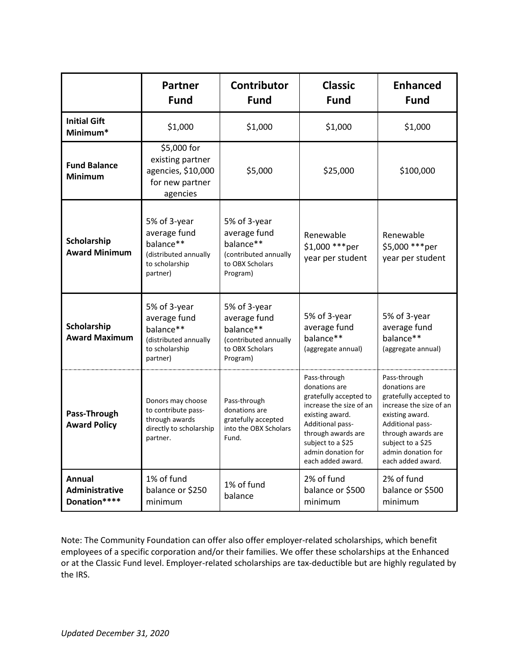|                                          | <b>Partner</b><br><b>Fund</b>                                                                     | <b>Contributor</b><br><b>Fund</b>                                                                 | <b>Classic</b><br><b>Fund</b>                                                                                                                                                                                          | <b>Enhanced</b><br><b>Fund</b>                                                                                                                                                                                  |
|------------------------------------------|---------------------------------------------------------------------------------------------------|---------------------------------------------------------------------------------------------------|------------------------------------------------------------------------------------------------------------------------------------------------------------------------------------------------------------------------|-----------------------------------------------------------------------------------------------------------------------------------------------------------------------------------------------------------------|
| <b>Initial Gift</b><br>Minimum*          | \$1,000                                                                                           | \$1,000                                                                                           | \$1,000                                                                                                                                                                                                                | \$1,000                                                                                                                                                                                                         |
| <b>Fund Balance</b><br><b>Minimum</b>    | \$5,000 for<br>existing partner<br>agencies, \$10,000<br>for new partner<br>agencies              | \$5,000                                                                                           | \$25,000                                                                                                                                                                                                               | \$100,000                                                                                                                                                                                                       |
| Scholarship<br><b>Award Minimum</b>      | 5% of 3-year<br>average fund<br>balance**<br>(distributed annually<br>to scholarship<br>partner)  | 5% of 3-year<br>average fund<br>balance**<br>(contributed annually<br>to OBX Scholars<br>Program) | Renewable<br>\$1,000 *** per<br>year per student                                                                                                                                                                       | Renewable<br>\$5,000 *** per<br>year per student                                                                                                                                                                |
| Scholarship<br><b>Award Maximum</b>      | 5% of 3-year<br>average fund<br>balance**<br>(distributed annually<br>to scholarship<br>partner)  | 5% of 3-year<br>average fund<br>balance**<br>(contributed annually<br>to OBX Scholars<br>Program) | 5% of 3-year<br>average fund<br>balance**<br>(aggregate annual)                                                                                                                                                        | 5% of 3-year<br>average fund<br>balance**<br>(aggregate annual)                                                                                                                                                 |
| Pass-Through<br><b>Award Policy</b>      | Donors may choose<br>to contribute pass-<br>through awards<br>directly to scholarship<br>partner. | Pass-through<br>donations are<br>gratefully accepted<br>into the OBX Scholars<br>Fund.            | Pass-through<br>donations are<br>gratefully accepted to<br>increase the size of an<br>existing award.<br><b>Additional pass-</b><br>through awards are<br>subject to a \$25<br>admin donation for<br>each added award. | Pass-through<br>donations are<br>gratefully accepted to<br>increase the size of an<br>existing award.<br>Additional pass-<br>through awards are<br>subject to a \$25<br>admin donation for<br>each added award. |
| Annual<br>Administrative<br>Donation**** | 1% of fund<br>balance or \$250<br>minimum                                                         | 1% of fund<br>balance                                                                             | 2% of fund<br>balance or \$500<br>minimum                                                                                                                                                                              | 2% of fund<br>balance or \$500<br>minimum                                                                                                                                                                       |

Note: The Community Foundation can offer also offer employer-related scholarships, which benefit employees of a specific corporation and/or their families. We offer these scholarships at the Enhanced or at the Classic Fund level. Employer-related scholarships are tax-deductible but are highly regulated by the IRS.